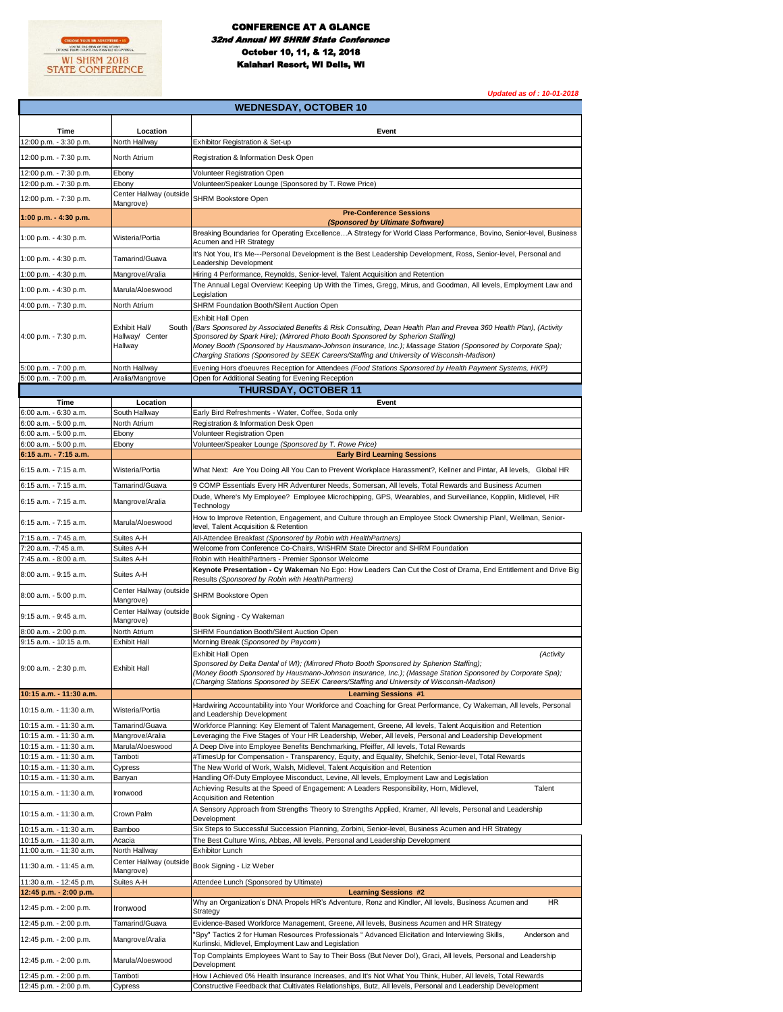

*Updated as of : 10-01-2018*

| <b>WEDNESDAY, OCTOBER 10</b>                       |                                                      |                                                                                                                                                                                                                                                                                                                                        |  |
|----------------------------------------------------|------------------------------------------------------|----------------------------------------------------------------------------------------------------------------------------------------------------------------------------------------------------------------------------------------------------------------------------------------------------------------------------------------|--|
|                                                    |                                                      |                                                                                                                                                                                                                                                                                                                                        |  |
| Time<br>12:00 p.m. - 3:30 p.m.                     | Location<br>North Hallway                            | Event<br>Exhibitor Registration & Set-up                                                                                                                                                                                                                                                                                               |  |
|                                                    |                                                      |                                                                                                                                                                                                                                                                                                                                        |  |
| 12:00 p.m. - 7:30 p.m.                             | North Atrium                                         | Registration & Information Desk Open                                                                                                                                                                                                                                                                                                   |  |
| 12:00 p.m. - 7:30 p.m.<br>12:00 p.m. - 7:30 p.m.   | Ebony<br>Ebony                                       | Volunteer Registration Open<br>Volunteer/Speaker Lounge (Sponsored by T. Rowe Price)                                                                                                                                                                                                                                                   |  |
|                                                    | Center Hallway (outside                              |                                                                                                                                                                                                                                                                                                                                        |  |
| 12:00 p.m. - 7:30 p.m.                             | Mangrove)                                            | <b>SHRM Bookstore Open</b>                                                                                                                                                                                                                                                                                                             |  |
| 1:00 p.m. - 4:30 p.m.                              |                                                      | <b>Pre-Conference Sessions</b><br>(Sponsored by Ultimate Software)                                                                                                                                                                                                                                                                     |  |
| 1:00 p.m. - 4:30 p.m.                              | Wisteria/Portia                                      | Breaking Boundaries for Operating ExcellenceA Strategy for World Class Performance, Bovino, Senior-level, Business                                                                                                                                                                                                                     |  |
|                                                    |                                                      | Acumen and HR Strategy                                                                                                                                                                                                                                                                                                                 |  |
| 1:00 p.m. - 4:30 p.m.                              | Tamarind/Guava                                       | It's Not You, It's Me---Personal Development is the Best Leadership Development, Ross, Senior-level, Personal and<br>Leadership Development                                                                                                                                                                                            |  |
| 1:00 p.m. - 4:30 p.m.                              | Mangrove/Aralia                                      | Hiring 4 Performance, Reynolds, Senior-level, Talent Acquisition and Retention                                                                                                                                                                                                                                                         |  |
| 1:00 p.m. - 4:30 p.m.                              | Marula/Aloeswood                                     | The Annual Legal Overview: Keeping Up With the Times, Gregg, Mirus, and Goodman, All levels, Employment Law and<br>Legislation                                                                                                                                                                                                         |  |
| 4:00 p.m. - 7:30 p.m.                              | North Atrium                                         | SHRM Foundation Booth/Silent Auction Open                                                                                                                                                                                                                                                                                              |  |
|                                                    |                                                      | <b>Exhibit Hall Open</b>                                                                                                                                                                                                                                                                                                               |  |
| 4:00 p.m. - 7:30 p.m.                              | Exhibit Hall/<br>South<br>Hallway/ Center<br>Hallway | (Bars Sponsored by Associated Benefits & Risk Consulting, Dean Health Plan and Prevea 360 Health Plan), (Activity<br>Sponsored by Spark Hire); (Mirrored Photo Booth Sponsored by Spherion Staffing)<br>Money Booth (Sponsored by Hausmann-Johnson Insurance, Inc.); Massage Station (Sponsored by Corporate Spa);                     |  |
|                                                    |                                                      | Charging Stations (Sponsored by SEEK Careers/Staffing and University of Wisconsin-Madison)                                                                                                                                                                                                                                             |  |
| 5:00 p.m. - 7:00 p.m.<br>5:00 p.m. - 7:00 p.m.     | North Hallway<br>Aralia/Mangrove                     | Evening Hors d'oeuvres Reception for Attendees (Food Stations Sponsored by Health Payment Systems, HKP)<br>Open for Additional Seating for Evening Reception                                                                                                                                                                           |  |
|                                                    |                                                      | <b>THURSDAY, OCTOBER 11</b>                                                                                                                                                                                                                                                                                                            |  |
| Time                                               | Location                                             | Event                                                                                                                                                                                                                                                                                                                                  |  |
| 6:00 a.m. - 6:30 a.m.                              | South Hallway                                        | Early Bird Refreshments - Water, Coffee, Soda only                                                                                                                                                                                                                                                                                     |  |
| 6:00 a.m. - 5:00 p.m.<br>6:00 a.m. - 5:00 p.m.     | North Atrium<br>Ebony                                | Registration & Information Desk Open<br>Volunteer Registration Open                                                                                                                                                                                                                                                                    |  |
| 6:00 a.m. - 5:00 p.m.                              | Ebony                                                | Volunteer/Speaker Lounge (Sponsored by T. Rowe Price)                                                                                                                                                                                                                                                                                  |  |
| 6:15 a.m. - 7:15 a.m.                              |                                                      | <b>Early Bird Learning Sessions</b>                                                                                                                                                                                                                                                                                                    |  |
| 6:15 a.m. - 7:15 a.m.                              | Wisteria/Portia                                      | What Next: Are You Doing All You Can to Prevent Workplace Harassment?, Kellner and Pintar, All levels, Global HR                                                                                                                                                                                                                       |  |
| 6:15 a.m. - 7:15 a.m.                              | Tamarind/Guava                                       | 9 COMP Essentials Every HR Adventurer Needs, Somersan, All levels, Total Rewards and Business Acumen                                                                                                                                                                                                                                   |  |
| 6:15 a.m. - 7:15 a.m.                              | Mangrove/Aralia                                      | Dude, Where's My Employee? Employee Microchipping, GPS, Wearables, and Surveillance, Kopplin, Midlevel, HR<br>Technology                                                                                                                                                                                                               |  |
| 6:15 a.m. - 7:15 a.m.                              | Marula/Aloeswood                                     | How to Improve Retention, Engagement, and Culture through an Employee Stock Ownership Plan!, Wellman, Senior-<br>level, Talent Acquisition & Retention                                                                                                                                                                                 |  |
| 7:15 a.m. - 7:45 a.m.<br>7:20 a.m. -7:45 a.m.      | Suites A-H<br>Suites A-H                             | All-Attendee Breakfast (Sponsored by Robin with HealthPartners)<br>Welcome from Conference Co-Chairs, WISHRM State Director and SHRM Foundation                                                                                                                                                                                        |  |
| 7:45 a.m. - 8:00 a.m.                              | Suites A-H                                           | Robin with HealthPartners - Premier Sponsor Welcome                                                                                                                                                                                                                                                                                    |  |
| 8:00 a.m. - 9:15 a.m.                              | Suites A-H                                           | Keynote Presentation - Cy Wakeman No Ego: How Leaders Can Cut the Cost of Drama, End Entitlement and Drive Big<br>Results (Sponsored by Robin with HealthPartners)                                                                                                                                                                     |  |
| 8:00 a.m. - 5:00 p.m.                              | Center Hallway (outside<br>Mangrove)                 | SHRM Bookstore Open                                                                                                                                                                                                                                                                                                                    |  |
| 9:15 a.m. - 9:45 a.m.                              | Center Hallway (outside<br>Mangrove)                 | Book Signing - Cy Wakeman                                                                                                                                                                                                                                                                                                              |  |
| 8:00 a.m. - 2:00 p.m.<br>9:15 a.m. - 10:15 a.m.    | North Atrium<br><b>Exhibit Hall</b>                  | SHRM Foundation Booth/Silent Auction Open<br>Morning Break (Sponsored by Paycom)                                                                                                                                                                                                                                                       |  |
| 9:00 a.m. - 2:30 p.m.                              | <b>Exhibit Hall</b>                                  | Exhibit Hall Open<br>(Activity<br>Sponsored by Delta Dental of WI); (Mirrored Photo Booth Sponsored by Spherion Staffing);<br>(Money Booth Sponsored by Hausmann-Johnson Insurance, Inc.); (Massage Station Sponsored by Corporate Spa);<br>(Charging Stations Sponsored by SEEK Careers/Staffing and University of Wisconsin-Madison) |  |
| 10:15 a.m. - 11:30 a.m.                            |                                                      | <b>Learning Sessions #1</b>                                                                                                                                                                                                                                                                                                            |  |
| 10:15 a.m. - 11:30 a.m.                            | Wisteria/Portia                                      | Hardwiring Accountability into Your Workforce and Coaching for Great Performance, Cy Wakeman, All levels, Personal<br>and Leadership Development                                                                                                                                                                                       |  |
| 10:15 a.m. - 11:30 a.m.<br>10:15 a.m. - 11:30 a.m. | Tamarind/Guava<br>Mangrove/Aralia                    | Workforce Planning: Key Element of Talent Management, Greene, All levels, Talent Acquisition and Retention<br>Leveraging the Five Stages of Your HR Leadership, Weber, All levels, Personal and Leadership Development                                                                                                                 |  |
| 10:15 a.m. - 11:30 a.m.                            | Marula/Aloeswood                                     | A Deep Dive into Employee Benefits Benchmarking, Pfeiffer, All levels, Total Rewards                                                                                                                                                                                                                                                   |  |
| 10:15 a.m. - 11:30 a.m.                            | Tamboti                                              | #TimesUp for Compensation - Transparency, Equity, and Equality, Shefchik, Senior-level, Total Rewards                                                                                                                                                                                                                                  |  |
| 10:15 a.m. - 11:30 a.m.                            | Cypress                                              | The New World of Work, Walsh, Midlevel, Talent Acquisition and Retention                                                                                                                                                                                                                                                               |  |
| 10:15 a.m. - 11:30 a.m.<br>10:15 a.m. - 11:30 a.m. | Banyan                                               | Handling Off-Duty Employee Misconduct, Levine, All levels, Employment Law and Legislation<br>Achieving Results at the Speed of Engagement: A Leaders Responsibility, Horn, Midlevel,<br>Talent                                                                                                                                         |  |
|                                                    | Ironwood                                             | Acquisition and Retention<br>A Sensory Approach from Strengths Theory to Strengths Applied, Kramer, All levels, Personal and Leadership                                                                                                                                                                                                |  |
| 10:15 a.m. - 11:30 a.m.                            | Crown Palm                                           | Development                                                                                                                                                                                                                                                                                                                            |  |
| 10:15 a.m. - 11:30 a.m.<br>10:15 a.m. - 11:30 a.m. | Bamboo<br>Acacia                                     | Six Steps to Successful Succession Planning, Zorbini, Senior-level, Business Acumen and HR Strategy<br>The Best Culture Wins, Abbas, All levels, Personal and Leadership Development                                                                                                                                                   |  |
| 11:00 a.m. - 11:30 a.m.                            | North Hallway                                        | <b>Exhibitor Lunch</b>                                                                                                                                                                                                                                                                                                                 |  |
| 11:30 a.m. - 11:45 a.m.                            | Center Hallway (outside                              | Book Signing - Liz Weber                                                                                                                                                                                                                                                                                                               |  |
| 11:30 a.m. - 12:45 p.m.                            | Mangrove)<br>Suites A-H                              | Attendee Lunch (Sponsored by Ultimate)                                                                                                                                                                                                                                                                                                 |  |
| 12:45 p.m. - 2:00 p.m.                             |                                                      | <b>Learning Sessions #2</b>                                                                                                                                                                                                                                                                                                            |  |
| 12:45 p.m. - 2:00 p.m.                             | Ironwood                                             | Why an Organization's DNA Propels HR's Adventure, Renz and Kindler, All levels, Business Acumen and<br><b>HR</b><br>Strategy                                                                                                                                                                                                           |  |
| 12:45 p.m. - 2:00 p.m.                             | Tamarind/Guava                                       | Evidence-Based Workforce Management, Greene, All levels, Business Acumen and HR Strategy                                                                                                                                                                                                                                               |  |
| 12:45 p.m. - 2:00 p.m.                             | Mangrove/Aralia                                      | 'Spy" Tactics 2 for Human Resources Professionals " Advanced Elicitation and Interviewing Skills,<br>Anderson and<br>Kurlinski, Midlevel, Employment Law and Legislation                                                                                                                                                               |  |
| 12:45 p.m. - 2:00 p.m.                             | Marula/Aloeswood                                     | Top Complaints Employees Want to Say to Their Boss (But Never Do!), Graci, All levels, Personal and Leadership<br>Development                                                                                                                                                                                                          |  |
| 12:45 p.m. - 2:00 p.m.                             | Tamboti                                              | How I Achieved 0% Health Insurance Increases, and It's Not What You Think, Huber, All levels, Total Rewards                                                                                                                                                                                                                            |  |
| 12:45 p.m. - 2:00 p.m.                             | Cypress                                              | Constructive Feedback that Cultivates Relationships, Butz, All levels, Personal and Leadership Development                                                                                                                                                                                                                             |  |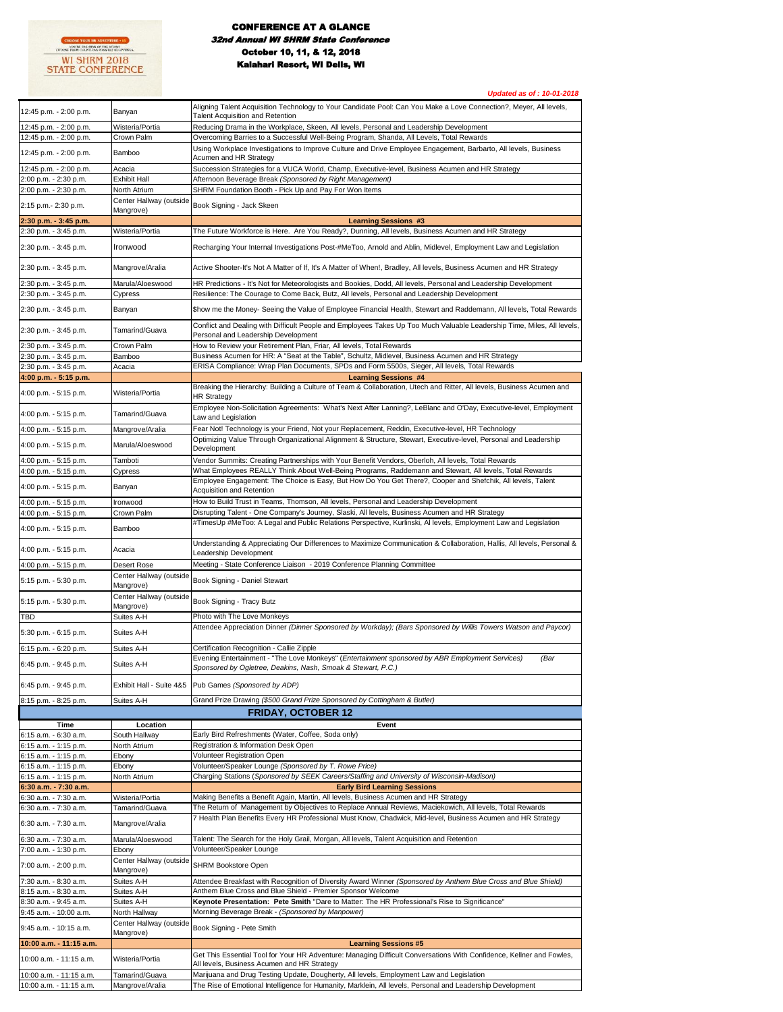

## CONFERENCE AT A GLANCE .<br>1 Annual WI SHRM State Confe October 10, 11, & 12, 2018 Kalahari Resort, WI Dells, WI

*Updated as of : 10-01-2018* 12:45 p.m. - 2:00 p.m. Banyan Aligning Talent Acquisition Technology to Your Candidate Pool: Can You Make a Love Connection?, Meyer, All levels, Talent Acquisition and Retention 12:45 p.m. - 2:00 p.m. Wisteria/Portia Reducing Drama in the Workplace, Skeen, All levels, Personal and Leadership Development 12:45 p.m. - 2:00 p.m. Crown Palm Overcoming Barries to a Successful Well-Being Program, Shanda, All Levels, Total Rewards 12:45 p.m. - 2:00 p.m. Bamboo Using Workplace Investigations to Improve Culture and Drive Employee Engagement, Barbarto, All levels, Business Acumen and HR Strategy 12:45 p.m. - 2:00 p.m. Acacia Succession Strategies for a VUCA World, Champ, Executive-level, Business Acumen and HR Strategy 2:00 p.m. - 2:30 p.m. Exhibit Hall Afternoon Beverage Break *(Sponsored by Right Management)* 2:00 p.m. - 2:30 p.m. North Atrium SHRM Foundation Booth - Pick Up and Pay For Won Items 2:15 p.m.- 2:30 p.m. Center Hallway (outside Book Signing - Jack Skeen **2:30 p.m. - 3:45 p.m. Learning Sessions #3** 2:30 p.m. - 3:45 p.m. Wisteria/Portia The Future Workforce is Here. Are You Ready?, Dunning, All levels, Business Acumen and HR Strategy 2:30 p.m. - 3:45 p.m. Ironwood Recharging Your Internal Investigations Post-#MeToo, Arnold and Ablin, Midlevel, Employment Law and Legislation 2:30 p.m. - 3:45 p.m. Mangrove/Aralia Active Shooter-It's Not A Matter of If, It's A Matter of When!, Bradley, All levels, Business Acumen and HR Strategy 2:30 p.m. - 3:45 p.m. Marula/Aloeswood HR Predictions - It's Not for Meteorologists and Bookies, Dodd, All levels, Personal and Leadership Development<br>2:30 p.m. - 3:45 p.m. Cvpress Resilience: The Courage to Come Back. But 2:30 p.m. - 3:45 p.m. Resilience: The Courage to Come Back, Butz, All levels, Personal and Leadership Development 2:30 p.m. - 3:45 p.m. Banyan Banyan Show me the Money- Seeing the Value of Employee Financial Health, Stewart and Raddemann, All levels, Total Rewards 2:30 p.m. - 3:45 p.m. Tamarind/Guava Conflict and Dealing with Difficult People and Employees Takes Up Too Much Valuable Leadership Time, Miles, All levels Personal and Leadership Development 2:30 p.m. - 3:45 p.m. Crown Palm How to Review your Retirement Plan, Friar, All levels, Total Rewards 2:30 p.m. - 3:45 p.m. Bamboo Business Acumen for HR: A "Seat at the Table", Schultz, Midlevel, Business Acumen and HR Strategy 2:30 p.m. - 3:45 p.m. Acacia ERISA Compliance: Wrap Plan Documents, SPDs and Form 5500s, Sieger, All levels, Total Rewards **4:00 p.m. - 5:15 p.m. Learning Sessions #4** 4:00 p.m. - 5:15 p.m. Wisteria/Portia Breaking the Hierarchy: Building a Culture of Team & Collaboration, Utech and Ritter, All levels, Business Acumen and HR Strategy 4:00 p.m. - 5:15 p.m. Tamarind/Guava Employee Non-Solicitation Agreements: What's Next After Lanning?, LeBlanc and O'Day, Executive-level, Employment Law and Legislation 4:00 p.m. - 5:15 p.m. Mangrove/Aralia Fear Not! Technology is your Friend, Not your Replacement, Reddin, Executive-level, HR Technology 4:00 p.m. - 5:15 p.m. Marula/Aloeswood Optimizing Value Through Organizational Alignment & Structure, Stewart, Executive-level, Personal and Leadership **Development** 4:00 p.m. - 5:15 p.m. Tamboti Vendor Summits: Creating Partnerships with Your Benefit Vendors, Oberloh, All levels, Total Rewards 4:00 p.m. - 5:15 p.m. Cypress What Employees REALLY Think About Well-Being Programs, Raddemann and Stewart, All levels, Total Rewards 4:00 p.m. - 5:15 p.m. Banyan Employee Engagement: The Choice is Easy, But How Do You Get There?, Cooper and Shefchik, All levels, Talent Acquisition and Retention 4:00 p.m. - 5:15 p.m. Ironwood How to Build Trust in Teams, Thomson, All levels, Personal and Leadership Development<br>4:00 p.m. - 5:15 p.m. Crown Palm Disrupting Talent - One Company's Journey, Slaski, All levels, Business 4:00 p.m. - 5:15 p.m. Crown Palm Disrupting Talent - One Company's Journey, Slaski, All levels, Business Acumen and HR Strategy 4:00 p.m. - 5:15 p.m. Bamboo #TimesUp #MeToo: A Legal and Public Relations Perspective, Kurlinski, Al levels, Employment Law and Legislation 4:00 p.m. - 5:15 p.m. Acacia Understanding & Appreciating Our Differences to Maximize Communication & Collaboration, Hallis, All levels, Personal & Leadership Development 4:00 p.m. - 5:15 p.m. Desert Rose Meeting - State Conference Liaison - 2019 Conference Planning Committee 5:15 p.m. - 5:30 p.m. Center Hallway (outside<br>
Mangrove) Book Signing - Daniel Stewart 5:15 p.m. - 5:30 p.m. Center Hallway (outside<br>Mangrove) **Book Signing - Tracy Butz** TBD Suites A-H Photo with The Love Monkeys 5:30 p.m. - 6:15 p.m. Suites A-H Attendee Appreciation Dinner *(Dinner Sponsored by Workday); (Bars Sponsored by Willis Towers Watson and Paycor)* 6:15 p.m. - 6:20 p.m. Suites A-H Certification Recognition - Callie Zipple 6:45 p.m. - 9:45 p.m. Suites A-H Evening Entertainment - "The Love Monkeys" (*Entertainment sponsored by ABR Employment Services) (Bar Sponsored by Ogletree, Deakins, Nash, Smoak & Stewart, P.C.)* 6:45 p.m. - 9:45 p.m. Exhibit Hall - Suite 4&5 Pub Games *(Sponsored by ADP)*  8:15 p.m. - 8:25 p.m. Suites A-H Grand Prize Drawing *(\$500 Grand Prize Sponsored by Cottingham & Butler)* **Time Location Event** 6:15 a.m. - 6:30 a.m. South Hallway Early Bird Refreshments (Water, Coffee, Soda only) 6:15 a.m. - 1:15 p.m. North Atrium Registration & Information Desk Open 6:15 a.m. - 1:15 p.m. Ebony Volunteer Registration Open 6:15 a.m. - 1:15 p.m. Ebony Volunteer/Speaker Lounge *(Sponsored by T. Rowe Price)* 6:15 a.m. - 1:15 p.m. North Atrium Charging Stations (*Sponsored by SEEK Careers/Staffing and University of Wisconsin-Madison)* **6:30 a.m. - 7:30 a.m. Early Bird Learning Sessions** 6:30 a.m. - 7:30 a.m. Wisteria/Portia Making Benefits a Benefit Again, Martin, All levels, Business Acumen and HR Strategy 6:30 a.m. - 7:30 a.m. Tamarind/Guava The Return of Management by Objectives to Replace Annual Reviews, Maciekowich, All levels, Total Rewards 6:30 a.m. - 7:30 a.m. Mangrove/Aralia 7 Health Plan Benefits Every HR Professional Must Know, Chadwick, Mid-level, Business Acumen and HR Strategy 6:30 a.m. - 7:30 a.m. Marula/Aloeswood Talent: The Search for the Holy Grail, Morgan, All levels, Talent Acquisition and Retention 7:00 a.m. - 1:30 p.m. Ebony Volunteer/Speaker Lounge 7:00 a.m. - 2:00 p.m. Center Hallway (outside<br>Mangrove) SHRM Bookstore Open 7:30 a.m. - 8:30 a.m. Suites A-H Attendee Breakfast with Recognition of Diversity Award Winner *(Sponsored by Anthem Blue Cross and Blue Shield)* 8:15 a.m. - 8:30 a.m. Suites A-H Anthem Blue Cross and Blue Shield - Premier Sponsor Welcome 8:30 a.m. - 9:45 a.m. Suites A-H **Keynote Presentation: Pete Smith** "Dare to Matter: The HR Professional's Rise to Significance" 9:45 a.m. - 10:00 a.m. North Hallway Morning Beverage Break - *(Sponsored by Manpower)* 9:45 a.m. - 10:15 a.m. Center Hallway (outside Book Signing - Pete Smith **10:00 a.m. - 11:15 a.m. Learning Sessions #5** 10:00 a.m. - 11:15 a.m. Wisteria/Portia Get This Essential Tool for Your HR Adventure: Managing Difficult Conversations With Confidence, Kellner and Fowles, All levels, Business Acumen and HR Strategy 10:00 a.m. - 11:15 a.m. Tamarind/Guava Marijuana and Drug Testing Update, Dougherty, All levels, Employment Law and Legislation **FRIDAY, OCTOBER 12**

10:00 a.m. - 11:15 a.m. Mangrove/Aralia The Rise of Emotional Intelligence for Humanity, Marklein, All levels, Personal and Leadership Development